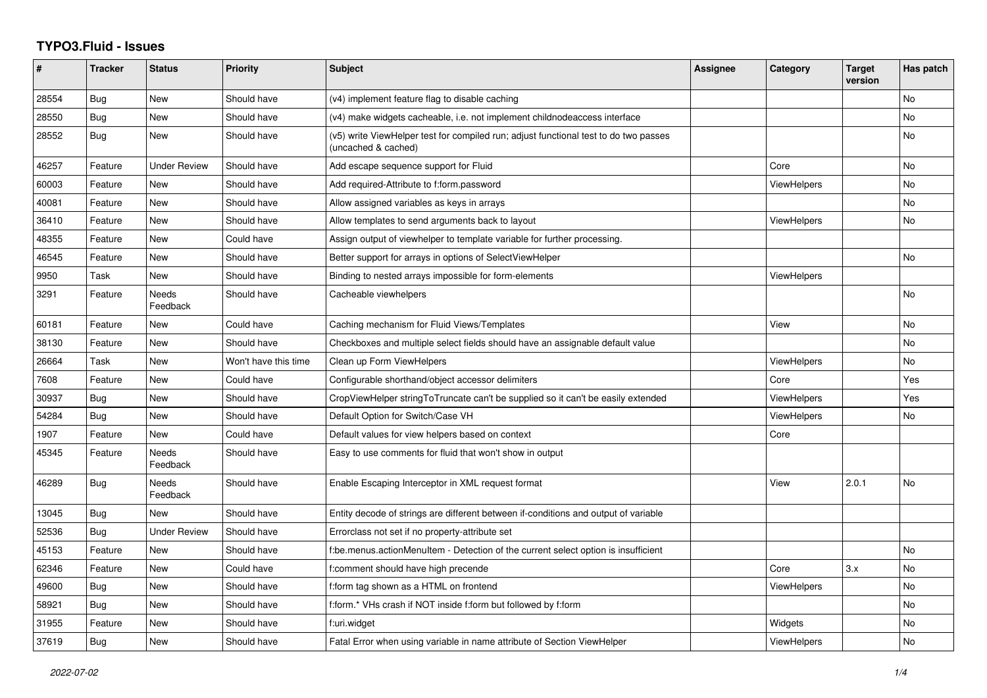## **TYPO3.Fluid - Issues**

| ∦     | <b>Tracker</b> | <b>Status</b>            | <b>Priority</b>      | Subject                                                                                                     | <b>Assignee</b> | Category           | <b>Target</b><br>version | Has patch |
|-------|----------------|--------------------------|----------------------|-------------------------------------------------------------------------------------------------------------|-----------------|--------------------|--------------------------|-----------|
| 28554 | Bug            | New                      | Should have          | (v4) implement feature flag to disable caching                                                              |                 |                    |                          | No        |
| 28550 | Bug            | New                      | Should have          | (v4) make widgets cacheable, i.e. not implement childnodeaccess interface                                   |                 |                    |                          | No        |
| 28552 | <b>Bug</b>     | New                      | Should have          | (v5) write ViewHelper test for compiled run; adjust functional test to do two passes<br>(uncached & cached) |                 |                    |                          | No        |
| 46257 | Feature        | Under Review             | Should have          | Add escape sequence support for Fluid                                                                       |                 | Core               |                          | No        |
| 60003 | Feature        | <b>New</b>               | Should have          | Add required-Attribute to f:form.password                                                                   |                 | <b>ViewHelpers</b> |                          | No        |
| 40081 | Feature        | <b>New</b>               | Should have          | Allow assigned variables as keys in arrays                                                                  |                 |                    |                          | No        |
| 36410 | Feature        | New                      | Should have          | Allow templates to send arguments back to layout                                                            |                 | <b>ViewHelpers</b> |                          | No        |
| 48355 | Feature        | <b>New</b>               | Could have           | Assign output of viewhelper to template variable for further processing.                                    |                 |                    |                          |           |
| 46545 | Feature        | <b>New</b>               | Should have          | Better support for arrays in options of SelectViewHelper                                                    |                 |                    |                          | <b>No</b> |
| 9950  | Task           | New                      | Should have          | Binding to nested arrays impossible for form-elements                                                       |                 | <b>ViewHelpers</b> |                          |           |
| 3291  | Feature        | <b>Needs</b><br>Feedback | Should have          | Cacheable viewhelpers                                                                                       |                 |                    |                          | No        |
| 60181 | Feature        | New                      | Could have           | Caching mechanism for Fluid Views/Templates                                                                 |                 | View               |                          | No        |
| 38130 | Feature        | New                      | Should have          | Checkboxes and multiple select fields should have an assignable default value                               |                 |                    |                          | No        |
| 26664 | Task           | New                      | Won't have this time | Clean up Form ViewHelpers                                                                                   |                 | <b>ViewHelpers</b> |                          | No        |
| 7608  | Feature        | <b>New</b>               | Could have           | Configurable shorthand/object accessor delimiters                                                           |                 | Core               |                          | Yes       |
| 30937 | Bug            | New                      | Should have          | CropViewHelper stringToTruncate can't be supplied so it can't be easily extended                            |                 | <b>ViewHelpers</b> |                          | Yes       |
| 54284 | <b>Bug</b>     | New                      | Should have          | Default Option for Switch/Case VH                                                                           |                 | ViewHelpers        |                          | No.       |
| 1907  | Feature        | <b>New</b>               | Could have           | Default values for view helpers based on context                                                            |                 | Core               |                          |           |
| 45345 | Feature        | <b>Needs</b><br>Feedback | Should have          | Easy to use comments for fluid that won't show in output                                                    |                 |                    |                          |           |
| 46289 | Bug            | Needs<br>Feedback        | Should have          | Enable Escaping Interceptor in XML request format                                                           |                 | View               | 2.0.1                    | No        |
| 13045 | Bug            | New                      | Should have          | Entity decode of strings are different between if-conditions and output of variable                         |                 |                    |                          |           |
| 52536 | Bug            | <b>Under Review</b>      | Should have          | Errorclass not set if no property-attribute set                                                             |                 |                    |                          |           |
| 45153 | Feature        | <b>New</b>               | Should have          | f:be.menus.actionMenuItem - Detection of the current select option is insufficient                          |                 |                    |                          | No        |
| 62346 | Feature        | <b>New</b>               | Could have           | f:comment should have high precende                                                                         |                 | Core               | 3.x                      | No        |
| 49600 | Bug            | New                      | Should have          | f:form tag shown as a HTML on frontend                                                                      |                 | ViewHelpers        |                          | No        |
| 58921 | Bug            | New                      | Should have          | f:form.* VHs crash if NOT inside f:form but followed by f:form                                              |                 |                    |                          | No.       |
| 31955 | Feature        | New                      | Should have          | f:uri.widget                                                                                                |                 | Widgets            |                          | No        |
| 37619 | Bug            | New                      | Should have          | Fatal Error when using variable in name attribute of Section ViewHelper                                     |                 | <b>ViewHelpers</b> |                          | No        |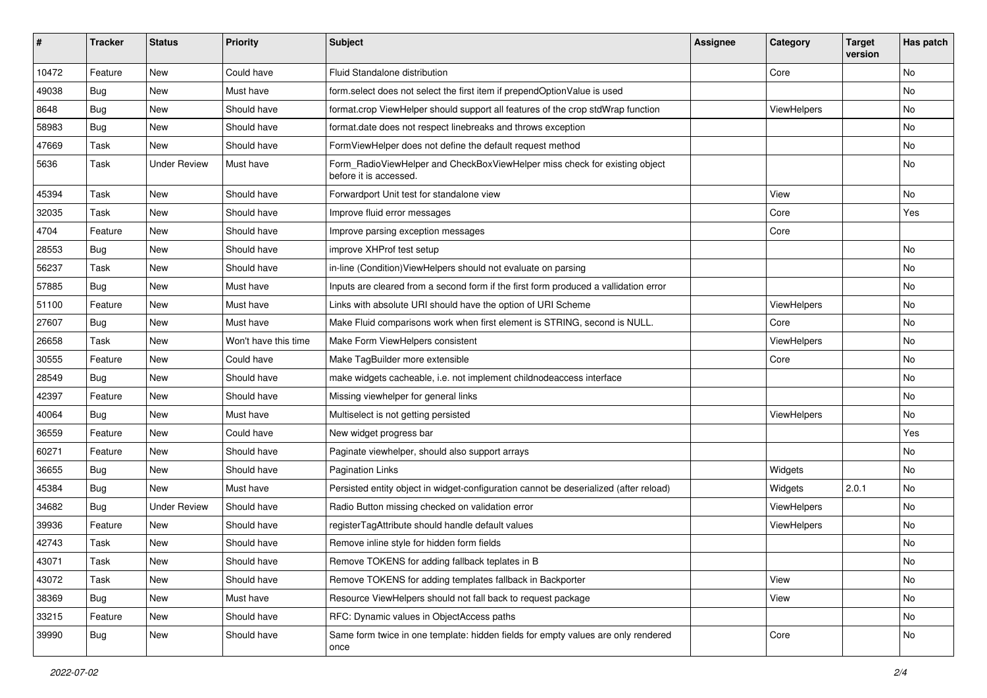| $\sharp$ | <b>Tracker</b> | <b>Status</b>       | <b>Priority</b>      | <b>Subject</b>                                                                                       | <b>Assignee</b> | Category    | <b>Target</b><br>version | Has patch |
|----------|----------------|---------------------|----------------------|------------------------------------------------------------------------------------------------------|-----------------|-------------|--------------------------|-----------|
| 10472    | Feature        | New                 | Could have           | Fluid Standalone distribution                                                                        |                 | Core        |                          | <b>No</b> |
| 49038    | Bug            | New                 | Must have            | form.select does not select the first item if prependOptionValue is used                             |                 |             |                          | No        |
| 8648     | Bug            | New                 | Should have          | format.crop ViewHelper should support all features of the crop stdWrap function                      |                 | ViewHelpers |                          | No        |
| 58983    | Bug            | New                 | Should have          | format.date does not respect linebreaks and throws exception                                         |                 |             |                          | <b>No</b> |
| 47669    | Task           | New                 | Should have          | FormViewHelper does not define the default request method                                            |                 |             |                          | No        |
| 5636     | Task           | <b>Under Review</b> | Must have            | Form_RadioViewHelper and CheckBoxViewHelper miss check for existing object<br>before it is accessed. |                 |             |                          | <b>No</b> |
| 45394    | Task           | New                 | Should have          | Forwardport Unit test for standalone view                                                            |                 | View        |                          | No        |
| 32035    | Task           | New                 | Should have          | Improve fluid error messages                                                                         |                 | Core        |                          | Yes       |
| 4704     | Feature        | New                 | Should have          | Improve parsing exception messages                                                                   |                 | Core        |                          |           |
| 28553    | Bug            | New                 | Should have          | improve XHProf test setup                                                                            |                 |             |                          | No        |
| 56237    | Task           | New                 | Should have          | in-line (Condition) View Helpers should not evaluate on parsing                                      |                 |             |                          | No        |
| 57885    | Bug            | New                 | Must have            | Inputs are cleared from a second form if the first form produced a vallidation error                 |                 |             |                          | No        |
| 51100    | Feature        | <b>New</b>          | Must have            | Links with absolute URI should have the option of URI Scheme                                         |                 | ViewHelpers |                          | <b>No</b> |
| 27607    | Bug            | New                 | Must have            | Make Fluid comparisons work when first element is STRING, second is NULL.                            |                 | Core        |                          | No        |
| 26658    | Task           | New                 | Won't have this time | Make Form ViewHelpers consistent                                                                     |                 | ViewHelpers |                          | No        |
| 30555    | Feature        | New                 | Could have           | Make TagBuilder more extensible                                                                      |                 | Core        |                          | No        |
| 28549    | Bug            | New                 | Should have          | make widgets cacheable, i.e. not implement childnodeaccess interface                                 |                 |             |                          | No        |
| 42397    | Feature        | New                 | Should have          | Missing viewhelper for general links                                                                 |                 |             |                          | <b>No</b> |
| 40064    | Bug            | New                 | Must have            | Multiselect is not getting persisted                                                                 |                 | ViewHelpers |                          | No        |
| 36559    | Feature        | <b>New</b>          | Could have           | New widget progress bar                                                                              |                 |             |                          | Yes       |
| 60271    | Feature        | New                 | Should have          | Paginate viewhelper, should also support arrays                                                      |                 |             |                          | No        |
| 36655    | Bug            | New                 | Should have          | <b>Pagination Links</b>                                                                              |                 | Widgets     |                          | No        |
| 45384    | Bug            | New                 | Must have            | Persisted entity object in widget-configuration cannot be deserialized (after reload)                |                 | Widgets     | 2.0.1                    | No        |
| 34682    | Bug            | <b>Under Review</b> | Should have          | Radio Button missing checked on validation error                                                     |                 | ViewHelpers |                          | No        |
| 39936    | Feature        | New                 | Should have          | registerTagAttribute should handle default values                                                    |                 | ViewHelpers |                          | No        |
| 42743    | Task           | New                 | Should have          | Remove inline style for hidden form fields                                                           |                 |             |                          | No        |
| 43071    | Task           | New                 | Should have          | Remove TOKENS for adding fallback teplates in B                                                      |                 |             |                          | No        |
| 43072    | Task           | New                 | Should have          | Remove TOKENS for adding templates fallback in Backporter                                            |                 | View        |                          | No        |
| 38369    | <b>Bug</b>     | New                 | Must have            | Resource ViewHelpers should not fall back to request package                                         |                 | View        |                          | No        |
| 33215    | Feature        | New                 | Should have          | RFC: Dynamic values in ObjectAccess paths                                                            |                 |             |                          | No        |
| 39990    | <b>Bug</b>     | New                 | Should have          | Same form twice in one template: hidden fields for empty values are only rendered<br>once            |                 | Core        |                          | No        |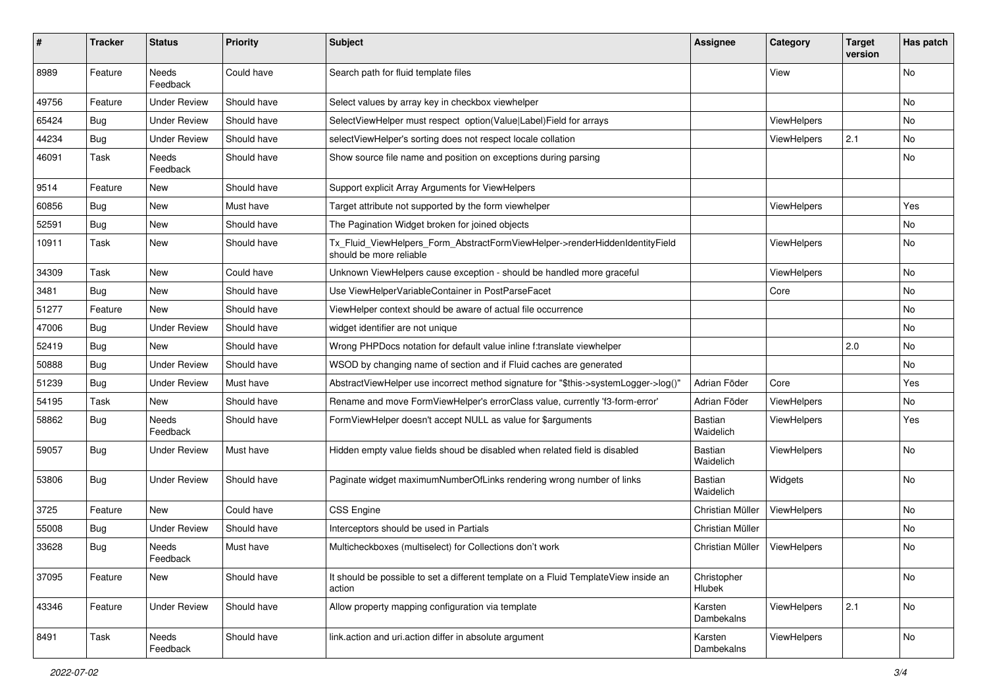| #     | <b>Tracker</b> | <b>Status</b>       | <b>Priority</b> | <b>Subject</b>                                                                                         | <b>Assignee</b>             | Category           | <b>Target</b><br>version | Has patch |
|-------|----------------|---------------------|-----------------|--------------------------------------------------------------------------------------------------------|-----------------------------|--------------------|--------------------------|-----------|
| 8989  | Feature        | Needs<br>Feedback   | Could have      | Search path for fluid template files                                                                   |                             | View               |                          | <b>No</b> |
| 49756 | Feature        | Under Review        | Should have     | Select values by array key in checkbox viewhelper                                                      |                             |                    |                          | No        |
| 65424 | Bug            | <b>Under Review</b> | Should have     | SelectViewHelper must respect option(Value Label)Field for arrays                                      |                             | ViewHelpers        |                          | No        |
| 44234 | Bug            | <b>Under Review</b> | Should have     | selectViewHelper's sorting does not respect locale collation                                           |                             | ViewHelpers        | 2.1                      | No        |
| 46091 | Task           | Needs<br>Feedback   | Should have     | Show source file name and position on exceptions during parsing                                        |                             |                    |                          | No        |
| 9514  | Feature        | New                 | Should have     | Support explicit Array Arguments for ViewHelpers                                                       |                             |                    |                          |           |
| 60856 | Bug            | New                 | Must have       | Target attribute not supported by the form viewhelper                                                  |                             | ViewHelpers        |                          | Yes       |
| 52591 | Bug            | New                 | Should have     | The Pagination Widget broken for joined objects                                                        |                             |                    |                          | No        |
| 10911 | Task           | New                 | Should have     | Tx_Fluid_ViewHelpers_Form_AbstractFormViewHelper->renderHiddenIdentityField<br>should be more reliable |                             | ViewHelpers        |                          | No        |
| 34309 | Task           | New                 | Could have      | Unknown ViewHelpers cause exception - should be handled more graceful                                  |                             | <b>ViewHelpers</b> |                          | No        |
| 3481  | Bug            | New                 | Should have     | Use ViewHelperVariableContainer in PostParseFacet                                                      |                             | Core               |                          | <b>No</b> |
| 51277 | Feature        | New                 | Should have     | ViewHelper context should be aware of actual file occurrence                                           |                             |                    |                          | No        |
| 47006 | Bug            | <b>Under Review</b> | Should have     | widget identifier are not unique                                                                       |                             |                    |                          | No        |
| 52419 | Bug            | New                 | Should have     | Wrong PHPDocs notation for default value inline f:translate viewhelper                                 |                             |                    | 2.0                      | No        |
| 50888 | Bug            | <b>Under Review</b> | Should have     | WSOD by changing name of section and if Fluid caches are generated                                     |                             |                    |                          | No        |
| 51239 | Bug            | <b>Under Review</b> | Must have       | AbstractViewHelper use incorrect method signature for "\$this->systemLogger->log()"                    | Adrian Föder                | Core               |                          | Yes       |
| 54195 | Task           | New                 | Should have     | Rename and move FormViewHelper's errorClass value, currently 'f3-form-error'                           | Adrian Föder                | ViewHelpers        |                          | No        |
| 58862 | Bug            | Needs<br>Feedback   | Should have     | FormViewHelper doesn't accept NULL as value for \$arguments                                            | Bastian<br>Waidelich        | ViewHelpers        |                          | Yes       |
| 59057 | Bug            | Under Review        | Must have       | Hidden empty value fields shoud be disabled when related field is disabled                             | <b>Bastian</b><br>Waidelich | ViewHelpers        |                          | No        |
| 53806 | <b>Bug</b>     | <b>Under Review</b> | Should have     | Paginate widget maximumNumberOfLinks rendering wrong number of links                                   | <b>Bastian</b><br>Waidelich | Widgets            |                          | No        |
| 3725  | Feature        | New                 | Could have      | <b>CSS Engine</b>                                                                                      | Christian Müller            | ViewHelpers        |                          | No        |
| 55008 | Bug            | <b>Under Review</b> | Should have     | Interceptors should be used in Partials                                                                | Christian Müller            |                    |                          | No        |
| 33628 | Bug            | Needs<br>Feedback   | Must have       | Multicheckboxes (multiselect) for Collections don't work                                               | Christian Müller            | ViewHelpers        |                          | No        |
| 37095 | Feature        | New                 | Should have     | It should be possible to set a different template on a Fluid TemplateView inside an<br>action          | Christopher<br>Hlubek       |                    |                          | No        |
| 43346 | Feature        | <b>Under Review</b> | Should have     | Allow property mapping configuration via template                                                      | Karsten<br>Dambekalns       | ViewHelpers        | 2.1                      | No        |
| 8491  | Task           | Needs<br>Feedback   | Should have     | link.action and uri.action differ in absolute argument                                                 | Karsten<br>Dambekalns       | ViewHelpers        |                          | No        |